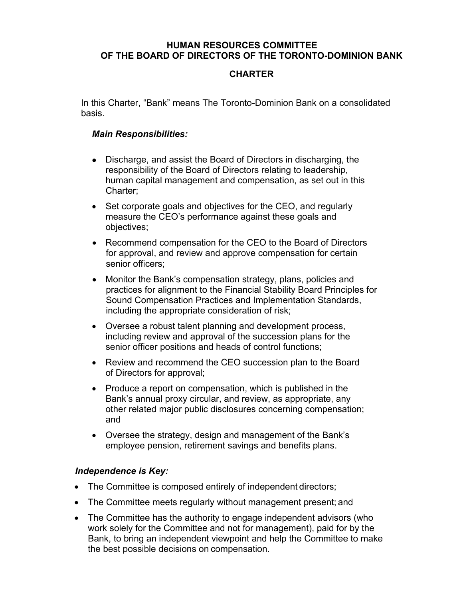### **HUMAN RESOURCES COMMITTEE OF THE BOARD OF DIRECTORS OF THE TORONTO-DOMINION BANK**

# **CHARTER**

In this Charter, "Bank" means The Toronto-Dominion Bank on a consolidated basis.

### *Main Responsibilities:*

- ⚫ Discharge, and assist the Board of Directors in discharging, the responsibility of the Board of Directors relating to leadership, human capital management and compensation, as set out in this Charter;
- Set corporate goals and objectives for the CEO, and regularly measure the CEO's performance against these goals and objectives;
- Recommend compensation for the CEO to the Board of Directors for approval, and review and approve compensation for certain senior officers;
- Monitor the Bank's compensation strategy, plans, policies and practices for alignment to the Financial Stability Board Principles for Sound Compensation Practices and Implementation Standards, including the appropriate consideration of risk;
- Oversee a robust talent planning and development process, including review and approval of the succession plans for the senior officer positions and heads of control functions;
- Review and recommend the CEO succession plan to the Board of Directors for approval;
- Produce a report on compensation, which is published in the Bank's annual proxy circular, and review, as appropriate, any other related major public disclosures concerning compensation; and
- Oversee the strategy, design and management of the Bank's employee pension, retirement savings and benefits plans.

## *Independence is Key:*

- The Committee is composed entirely of independent directors;
- The Committee meets regularly without management present; and
- The Committee has the authority to engage independent advisors (who work solely for the Committee and not for management), paid for by the Bank, to bring an independent viewpoint and help the Committee to make the best possible decisions on compensation.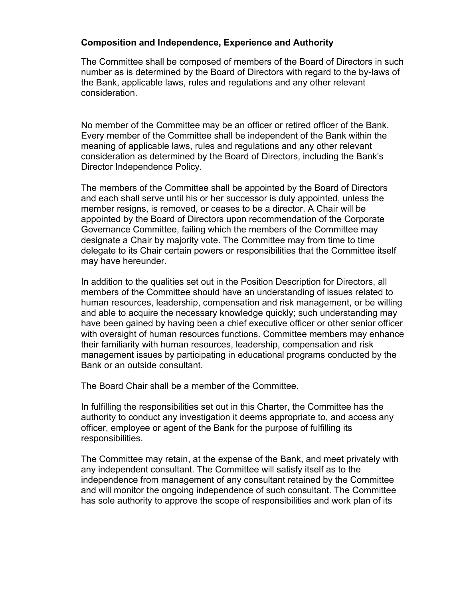## **Composition and Independence, Experience and Authority**

The Committee shall be composed of members of the Board of Directors in such number as is determined by the Board of Directors with regard to the by-laws of the Bank, applicable laws, rules and regulations and any other relevant consideration.

No member of the Committee may be an officer or retired officer of the Bank. Every member of the Committee shall be independent of the Bank within the meaning of applicable laws, rules and regulations and any other relevant consideration as determined by the Board of Directors, including the Bank's Director Independence Policy.

The members of the Committee shall be appointed by the Board of Directors and each shall serve until his or her successor is duly appointed, unless the member resigns, is removed, or ceases to be a director. A Chair will be appointed by the Board of Directors upon recommendation of the Corporate Governance Committee, failing which the members of the Committee may designate a Chair by majority vote. The Committee may from time to time delegate to its Chair certain powers or responsibilities that the Committee itself may have hereunder.

In addition to the qualities set out in the Position Description for Directors, all members of the Committee should have an understanding of issues related to human resources, leadership, compensation and risk management, or be willing and able to acquire the necessary knowledge quickly; such understanding may have been gained by having been a chief executive officer or other senior officer with oversight of human resources functions. Committee members may enhance their familiarity with human resources, leadership, compensation and risk management issues by participating in educational programs conducted by the Bank or an outside consultant.

The Board Chair shall be a member of the Committee.

In fulfilling the responsibilities set out in this Charter, the Committee has the authority to conduct any investigation it deems appropriate to, and access any officer, employee or agent of the Bank for the purpose of fulfilling its responsibilities.

The Committee may retain, at the expense of the Bank, and meet privately with any independent consultant. The Committee will satisfy itself as to the independence from management of any consultant retained by the Committee and will monitor the ongoing independence of such consultant. The Committee has sole authority to approve the scope of responsibilities and work plan of its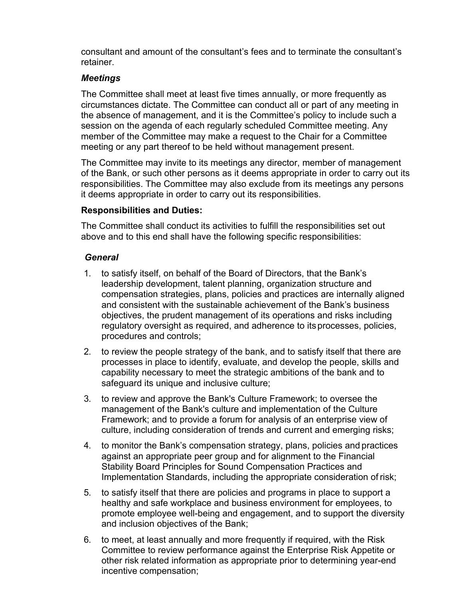consultant and amount of the consultant's fees and to terminate the consultant's retainer.

## *Meetings*

The Committee shall meet at least five times annually, or more frequently as circumstances dictate. The Committee can conduct all or part of any meeting in the absence of management, and it is the Committee's policy to include such a session on the agenda of each regularly scheduled Committee meeting. Any member of the Committee may make a request to the Chair for a Committee meeting or any part thereof to be held without management present.

The Committee may invite to its meetings any director, member of management of the Bank, or such other persons as it deems appropriate in order to carry out its responsibilities. The Committee may also exclude from its meetings any persons it deems appropriate in order to carry out its responsibilities.

## **Responsibilities and Duties:**

The Committee shall conduct its activities to fulfill the responsibilities set out above and to this end shall have the following specific responsibilities:

## *General*

- 1. to satisfy itself, on behalf of the Board of Directors, that the Bank's leadership development, talent planning, organization structure and compensation strategies, plans, policies and practices are internally aligned and consistent with the sustainable achievement of the Bank's business objectives, the prudent management of its operations and risks including regulatory oversight as required, and adherence to itsprocesses, policies, procedures and controls;
- 2. to review the people strategy of the bank, and to satisfy itself that there are processes in place to identify, evaluate, and develop the people, skills and capability necessary to meet the strategic ambitions of the bank and to safeguard its unique and inclusive culture;
- 3. to review and approve the Bank's Culture Framework; to oversee the management of the Bank's culture and implementation of the Culture Framework; and to provide a forum for analysis of an enterprise view of culture, including consideration of trends and current and emerging risks;
- 4. to monitor the Bank's compensation strategy, plans, policies and practices against an appropriate peer group and for alignment to the Financial Stability Board Principles for Sound Compensation Practices and Implementation Standards, including the appropriate consideration of risk;
- 5. to satisfy itself that there are policies and programs in place to support a healthy and safe workplace and business environment for employees, to promote employee well-being and engagement, and to support the diversity and inclusion objectives of the Bank;
- 6. to meet, at least annually and more frequently if required, with the Risk Committee to review performance against the Enterprise Risk Appetite or other risk related information as appropriate prior to determining year-end incentive compensation;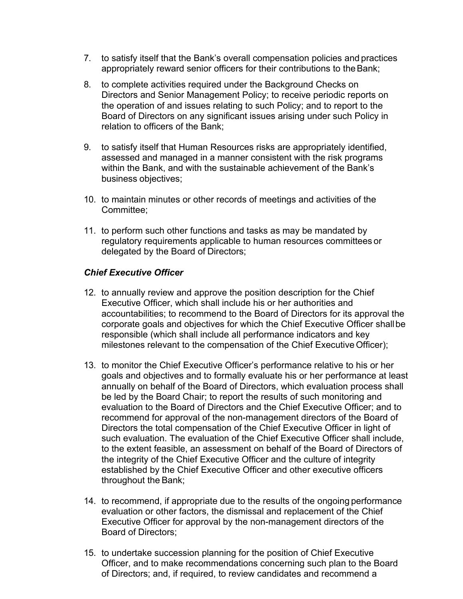- 7. to satisfy itself that the Bank's overall compensation policies and practices appropriately reward senior officers for their contributions to theBank;
- 8. to complete activities required under the Background Checks on Directors and Senior Management Policy; to receive periodic reports on the operation of and issues relating to such Policy; and to report to the Board of Directors on any significant issues arising under such Policy in relation to officers of the Bank;
- 9. to satisfy itself that Human Resources risks are appropriately identified, assessed and managed in a manner consistent with the risk programs within the Bank, and with the sustainable achievement of the Bank's business objectives;
- 10. to maintain minutes or other records of meetings and activities of the Committee;
- 11. to perform such other functions and tasks as may be mandated by regulatory requirements applicable to human resources committees or delegated by the Board of Directors;

## *Chief Executive Officer*

- 12. to annually review and approve the position description for the Chief Executive Officer, which shall include his or her authorities and accountabilities; to recommend to the Board of Directors for its approval the corporate goals and objectives for which the Chief Executive Officer shallbe responsible (which shall include all performance indicators and key milestones relevant to the compensation of the Chief Executive Officer);
- 13. to monitor the Chief Executive Officer's performance relative to his or her goals and objectives and to formally evaluate his or her performance at least annually on behalf of the Board of Directors, which evaluation process shall be led by the Board Chair; to report the results of such monitoring and evaluation to the Board of Directors and the Chief Executive Officer; and to recommend for approval of the non-management directors of the Board of Directors the total compensation of the Chief Executive Officer in light of such evaluation. The evaluation of the Chief Executive Officer shall include, to the extent feasible, an assessment on behalf of the Board of Directors of the integrity of the Chief Executive Officer and the culture of integrity established by the Chief Executive Officer and other executive officers throughout the Bank;
- 14. to recommend, if appropriate due to the results of the ongoing performance evaluation or other factors, the dismissal and replacement of the Chief Executive Officer for approval by the non-management directors of the Board of Directors;
- 15. to undertake succession planning for the position of Chief Executive Officer, and to make recommendations concerning such plan to the Board of Directors; and, if required, to review candidates and recommend a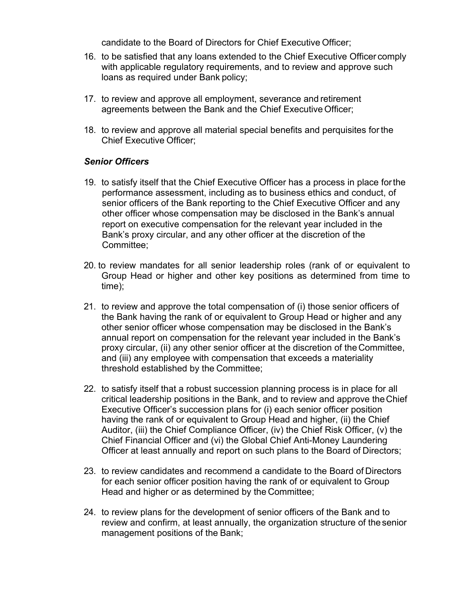candidate to the Board of Directors for Chief Executive Officer;

- 16. to be satisfied that any loans extended to the Chief Executive Officer comply with applicable regulatory requirements, and to review and approve such loans as required under Bank policy;
- 17. to review and approve all employment, severance and retirement agreements between the Bank and the Chief Executive Officer;
- 18. to review and approve all material special benefits and perquisites forthe Chief Executive Officer;

#### *Senior Officers*

- 19. to satisfy itself that the Chief Executive Officer has a process in place forthe performance assessment, including as to business ethics and conduct, of senior officers of the Bank reporting to the Chief Executive Officer and any other officer whose compensation may be disclosed in the Bank's annual report on executive compensation for the relevant year included in the Bank's proxy circular, and any other officer at the discretion of the Committee;
- 20. to review mandates for all senior leadership roles (rank of or equivalent to Group Head or higher and other key positions as determined from time to time);
- 21. to review and approve the total compensation of (i) those senior officers of the Bank having the rank of or equivalent to Group Head or higher and any other senior officer whose compensation may be disclosed in the Bank's annual report on compensation for the relevant year included in the Bank's proxy circular, (ii) any other senior officer at the discretion of theCommittee, and (iii) any employee with compensation that exceeds a materiality threshold established by the Committee;
- 22. to satisfy itself that a robust succession planning process is in place for all critical leadership positions in the Bank, and to review and approve theChief Executive Officer's succession plans for (i) each senior officer position having the rank of or equivalent to Group Head and higher, (ii) the Chief Auditor, (iii) the Chief Compliance Officer, (iv) the Chief Risk Officer, (v) the Chief Financial Officer and (vi) the Global Chief Anti-Money Laundering Officer at least annually and report on such plans to the Board of Directors;
- 23. to review candidates and recommend a candidate to the Board of Directors for each senior officer position having the rank of or equivalent to Group Head and higher or as determined by the Committee;
- 24. to review plans for the development of senior officers of the Bank and to review and confirm, at least annually, the organization structure of thesenior management positions of the Bank;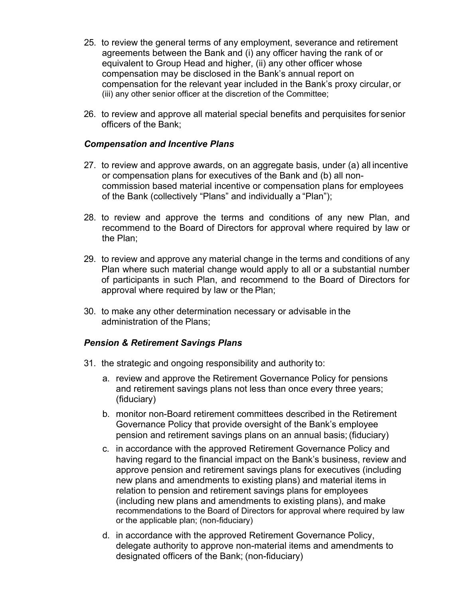- 25. to review the general terms of any employment, severance and retirement agreements between the Bank and (i) any officer having the rank of or equivalent to Group Head and higher, (ii) any other officer whose compensation may be disclosed in the Bank's annual report on compensation for the relevant year included in the Bank's proxy circular, or (iii) any other senior officer at the discretion of the Committee;
- 26. to review and approve all material special benefits and perquisites for senior officers of the Bank;

### *Compensation and Incentive Plans*

- 27. to review and approve awards, on an aggregate basis, under (a) all incentive or compensation plans for executives of the Bank and (b) all noncommission based material incentive or compensation plans for employees of the Bank (collectively "Plans" and individually a "Plan");
- 28. to review and approve the terms and conditions of any new Plan, and recommend to the Board of Directors for approval where required by law or the Plan;
- 29. to review and approve any material change in the terms and conditions of any Plan where such material change would apply to all or a substantial number of participants in such Plan, and recommend to the Board of Directors for approval where required by law or the Plan;
- 30. to make any other determination necessary or advisable in the administration of the Plans;

## *Pension & Retirement Savings Plans*

- 31. the strategic and ongoing responsibility and authority to:
	- a. review and approve the Retirement Governance Policy for pensions and retirement savings plans not less than once every three years; (fiduciary)
	- b. monitor non-Board retirement committees described in the Retirement Governance Policy that provide oversight of the Bank's employee pension and retirement savings plans on an annual basis;(fiduciary)
	- c. in accordance with the approved Retirement Governance Policy and having regard to the financial impact on the Bank's business, review and approve pension and retirement savings plans for executives (including new plans and amendments to existing plans) and material items in relation to pension and retirement savings plans for employees (including new plans and amendments to existing plans), and make recommendations to the Board of Directors for approval where required by law or the applicable plan; (non-fiduciary)
	- d. in accordance with the approved Retirement Governance Policy, delegate authority to approve non-material items and amendments to designated officers of the Bank; (non-fiduciary)